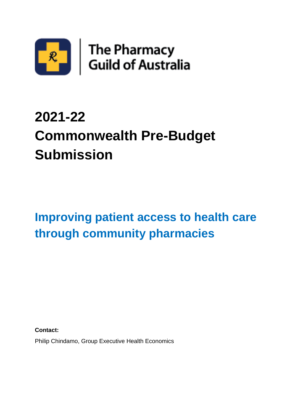

# **2021-22 Commonwealth Pre-Budget Submission**

## **Improving patient access to health care through community pharmacies**

**Contact:**

Philip Chindamo, Group Executive Health Economics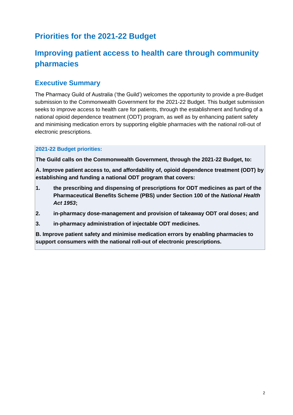## **Priorities for the 2021-22 Budget**

## **Improving patient access to health care through community pharmacies**

### **Executive Summary**

The Pharmacy Guild of Australia ('the Guild') welcomes the opportunity to provide a pre-Budget submission to the Commonwealth Government for the 2021-22 Budget. This budget submission seeks to improve access to health care for patients, through the establishment and funding of a national opioid dependence treatment (ODT) program, as well as by enhancing patient safety and minimising medication errors by supporting eligible pharmacies with the national roll-out of electronic prescriptions.

#### **2021-22 Budget priorities:**

**The Guild calls on the Commonwealth Government, through the 2021-22 Budget, to:**

**A. Improve patient access to, and affordability of, opioid dependence treatment (ODT) by establishing and funding a national ODT program that covers:**

- **1. the prescribing and dispensing of prescriptions for ODT medicines as part of the Pharmaceutical Benefits Scheme (PBS) under Section 100 of the** *National Health Act 1953***;**
- **2. in-pharmacy dose-management and provision of takeaway ODT oral doses; and**
- **3. in-pharmacy administration of injectable ODT medicines.**

**B. Improve patient safety and minimise medication errors by enabling pharmacies to support consumers with the national roll-out of electronic prescriptions.**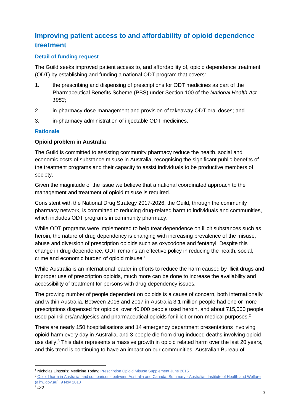## **Improving patient access to and affordability of opioid dependence treatment**

#### **Detail of funding request**

The Guild seeks improved patient access to, and affordability of, opioid dependence treatment (ODT) by establishing and funding a national ODT program that covers:

- 1. the prescribing and dispensing of prescriptions for ODT medicines as part of the Pharmaceutical Benefits Scheme (PBS) under Section 100 of the *National Health Act 1953*;
- 2. in-pharmacy dose-management and provision of takeaway ODT oral doses; and
- 3. in-pharmacy administration of injectable ODT medicines.

#### **Rationale**

#### **Opioid problem in Australia**

The Guild is committed to assisting community pharmacy reduce the health, social and economic costs of substance misuse in Australia, recognising the significant public benefits of the treatment programs and their capacity to assist individuals to be productive members of society.

Given the magnitude of the issue we believe that a national coordinated approach to the management and treatment of opioid misuse is required.

Consistent with the National Drug Strategy 2017-2026, the Guild, through the community pharmacy network, is committed to reducing drug-related harm to individuals and communities, which includes ODT programs in community pharmacy.

While ODT programs were implemented to help treat dependence on illicit substances such as heroin, the nature of drug dependency is changing with increasing prevalence of the misuse, abuse and diversion of prescription opioids such as oxycodone and fentanyl. Despite this change in drug dependence, ODT remains an effective policy in reducing the health, social, crime and economic burden of opioid misuse.<sup>1</sup>

While Australia is an international leader in efforts to reduce the harm caused by illicit drugs and improper use of prescription opioids, much more can be done to increase the availability and accessibility of treatment for persons with drug dependency issues.

The growing number of people dependent on opioids is a cause of concern, both internationally and within Australia. Between 2016 and 2017 in Australia 3.1 million people had one or more prescriptions dispensed for opioids, over 40,000 people used heroin, and about 715,000 people used painkillers/analgesics and pharmaceutical opioids for illicit or non-medical purposes.<sup>2</sup>

There are nearly 150 hospitalisations and 14 emergency department presentations involving opioid harm every day in Australia, and 3 people die from drug induced deaths involving opioid use daily.<sup>3</sup> This data represents a massive growth in opioid related harm over the last 20 years, and this trend is continuing to have an impact on our communities. Australian Bureau of

<sup>1</sup> Nicholas Lintzeris; Medicine Today; [Prescription Opioid Misuse Supplement June 2015](https://medicinetoday.com.au/sites/default/files/cpd/3-MT2015-06SUPPL-PRESCRIPTION_OPIOID_MISUSE-LINTZERIS.pdf)

<sup>2</sup> [Opioid harm in Australia: and comparisons between Australia and Canada, Summary -](https://www.aihw.gov.au/reports/illicit-use-of-drugs/opioid-harm-in-australia/contents/summary) Australian Institute of Health and Welfare [\(aihw.gov.au\),](https://www.aihw.gov.au/reports/illicit-use-of-drugs/opioid-harm-in-australia/contents/summary) 9 Nov 2018

<sup>3</sup> *Ibid*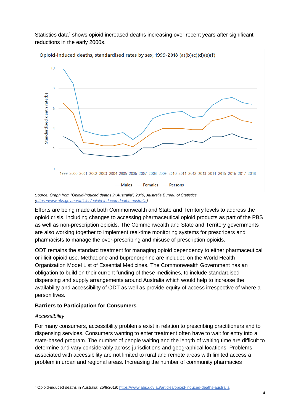Statistics data<sup>4</sup> shows opioid increased deaths increasing over recent years after significant reductions in the early 2000s.



Opioid-induced deaths, standardised rates by sex, 1999-2018 (a)(b)(c)(d)(e)(f)

Efforts are being made at both Commonwealth and State and Territory levels to address the opioid crisis, including changes to accessing pharmaceutical opioid products as part of the PBS as well as non-prescription opioids. The Commonwealth and State and Territory governments are also working together to implement real-time monitoring systems for prescribers and pharmacists to manage the over-prescribing and misuse of prescription opioids.

ODT remains the standard treatment for managing opioid dependency to either pharmaceutical or illicit opioid use. Methadone and buprenorphine are included on the World Health Organization Model List of Essential Medicines. The Commonwealth Government has an obligation to build on their current funding of these medicines, to include standardised dispensing and supply arrangements around Australia which would help to increase the availability and accessibility of ODT as well as provide equity of access irrespective of where a person lives.

#### **Barriers to Participation for Consumers**

#### *Accessibility*

For many consumers, accessibility problems exist in relation to prescribing practitioners and to dispensing services. Consumers wanting to enter treatment often have to wait for entry into a state-based program. The number of people waiting and the length of waiting time are difficult to determine and vary considerably across jurisdictions and geographical locations. Problems associated with accessibility are not limited to rural and remote areas with limited access a problem in urban and regional areas. Increasing the number of community pharmacies

*Source: Graph from "Opioid-induced deaths in Australia", 2019, Australia Bureau of Statistics [\(https://www.abs.gov.au/articles/opioid-induced-deaths-australia\)](https://www.abs.gov.au/articles/opioid-induced-deaths-australia)*

<sup>4</sup> Opioid-induced deaths in Australia; 25/9/2019[; https://www.abs.gov.au/articles/opioid-induced-deaths-australia](https://www.abs.gov.au/articles/opioid-induced-deaths-australia)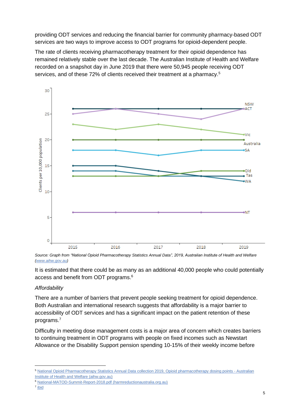providing ODT services and reducing the financial barrier for community pharmacy-based ODT services are two ways to improve access to ODT programs for opioid-dependent people.

The rate of clients receiving pharmacotherapy treatment for their opioid dependence has remained relatively stable over the last decade. The Australian Institute of Health and Welfare recorded on a snapshot day in June 2019 that there were 50,945 people receiving ODT services, and of these 72% of clients received their treatment at a pharmacy.<sup>5</sup>



*Source: Graph from "National Opioid Pharmacotherapy Statistics Annual Data", 2019, Australian Institute of Health and Welfare [\(www.aihw.gov.au\)](http://www.aihw.gov.au/)* 

It is estimated that there could be as many as an additional 40,000 people who could potentially access and benefit from ODT programs. 6

#### *Affordability*

There are a number of barriers that prevent people seeking treatment for opioid dependence. Both Australian and international research suggests that affordability is a major barrier to accessibility of ODT services and has a significant impact on the patient retention of these programs.<sup>7</sup>

Difficulty in meeting dose management costs is a major area of concern which creates barriers to continuing treatment in ODT programs with people on fixed incomes such as Newstart Allowance or the Disability Support pension spending 10-15% of their weekly income before

<sup>5</sup> [National Opioid Pharmacotherapy Statistics Annual Data collection 2019, Opioid pharmacotherapy dosing points -](https://www.aihw.gov.au/reports/alcohol-other-drug-treatment-services/national-opioid-pharmacotherapy-statistics-2019/contents/opioid-pharmacotherapy-dosing-points) Australian [Institute of Health and Welfare \(aihw.gov.au\)](https://www.aihw.gov.au/reports/alcohol-other-drug-treatment-services/national-opioid-pharmacotherapy-statistics-2019/contents/opioid-pharmacotherapy-dosing-points)

<sup>6</sup> [National-MATOD-Summit-Report-2018.pdf \(harmreductionaustralia.org.au\)](https://www.harmreductionaustralia.org.au/wp-content/uploads/2018/07/National-MATOD-Summit-Report-2018.pdf)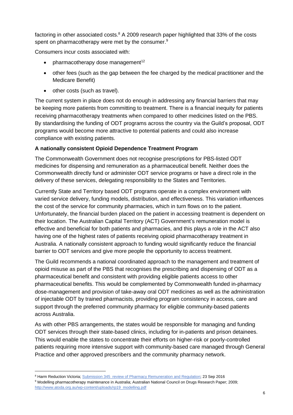factoring in other associated costs.<sup>8</sup> A 2009 research paper highlighted that 33% of the costs spent on pharmacotherapy were met by the consumer.<sup>9</sup>

Consumers incur costs associated with:

- $\bullet$  pharmacotherapy dose management<sup>12</sup>
- other fees (such as the gap between the fee charged by the medical practitioner and the Medicare Benefit)
- other costs (such as travel).

The current system in place does not do enough in addressing any financial barriers that may be keeping more patients from committing to treatment. There is a financial inequity for patients receiving pharmacotherapy treatments when compared to other medicines listed on the PBS. By standardising the funding of ODT programs across the country via the Guild's proposal, ODT programs would become more attractive to potential patients and could also increase compliance with existing patients.

#### **A nationally consistent Opioid Dependence Treatment Program**

The Commonwealth Government does not recognise prescriptions for PBS-listed ODT medicines for dispensing and remuneration as a pharmaceutical benefit. Neither does the Commonwealth directly fund or administer ODT service programs or have a direct role in the delivery of these services, delegating responsibility to the States and Territories.

Currently State and Territory based ODT programs operate in a complex environment with varied service delivery, funding models, distribution, and effectiveness. This variation influences the cost of the service for community pharmacies, which in turn flows on to the patient. Unfortunately, the financial burden placed on the patient in accessing treatment is dependent on their location. The Australian Capital Territory (ACT) Government's remuneration model is effective and beneficial for both patients and pharmacies, and this plays a role in the ACT also having one of the highest rates of patients receiving opioid pharmacotherapy treatment in Australia. A nationally consistent approach to funding would significantly reduce the financial barrier to ODT services and give more people the opportunity to access treatment.

The Guild recommends a national coordinated approach to the management and treatment of opioid misuse as part of the PBS that recognises the prescribing and dispensing of ODT as a pharmaceutical benefit and consistent with providing eligible patients access to other pharmaceutical benefits. This would be complemented by Commonwealth funded in-pharmacy dose-management and provision of take-away oral ODT medicines as well as the administration of injectable ODT by trained pharmacists, providing program consistency in access, care and support through the preferred community pharmacy for eligible community-based patients across Australia.

As with other PBS arrangements, the states would be responsible for managing and funding ODT services through their state-based clinics, including for in-patients and prison detainees. This would enable the states to concentrate their efforts on higher-risk or poorly-controlled patients requiring more intensive support with community-based care managed through General Practice and other approved prescribers and the community pharmacy network.

<sup>&</sup>lt;sup>8</sup> Harm Reduction Victoria; [Submission 345\\_review of Pharmacy Remuneration and Regulation;](https://www1.health.gov.au/internet/main/publishing.nsf/Content/review-pharmacy-remuneration-regulation-submissions-cnt-7/$file/345-2016-09-23-harm-reduction-victoria-submission.pdf) 23 Sep 2016

<sup>9</sup> Modelling pharmacotherapy maintenance in Australia; Australian National Council on Drugs Research Paper; 2009; [http://www.atoda.org.au/wp-content/uploads/rp19\\_modelling.pdf](http://www.atoda.org.au/wp-content/uploads/rp19_modelling.pdf)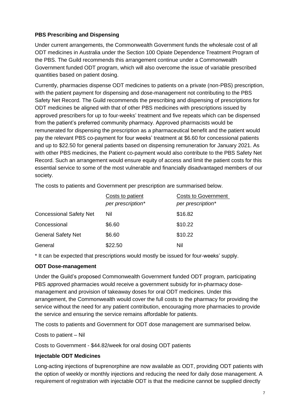#### **PBS Prescribing and Dispensing**

Under current arrangements, the Commonwealth Government funds the wholesale cost of all ODT medicines in Australia under the Section 100 Opiate Dependence Treatment Program of the PBS. The Guild recommends this arrangement continue under a Commonwealth Government funded ODT program, which will also overcome the issue of variable prescribed quantities based on patient dosing.

Currently, pharmacies dispense ODT medicines to patients on a private (non-PBS) prescription, with the patient payment for dispensing and dose-management not contributing to the PBS Safety Net Record. The Guild recommends the prescribing and dispensing of prescriptions for ODT medicines be aligned with that of other PBS medicines with prescriptions issued by approved prescribers for up to four-weeks' treatment and five repeats which can be dispensed from the patient's preferred community pharmacy. Approved pharmacists would be remunerated for dispensing the prescription as a pharmaceutical benefit and the patient would pay the relevant PBS co-payment for four weeks' treatment at \$6.60 for concessional patients and up to \$22.50 for general patients based on dispensing remuneration for January 2021. As with other PBS medicines, the Patient co-payment would also contribute to the PBS Safety Net Record. Such an arrangement would ensure equity of access and limit the patient costs for this essential service to some of the most vulnerable and financially disadvantaged members of our society.

The costs to patients and Government per prescription are summarised below.

|                                | Costs to patient  | <b>Costs to Government</b> |  |
|--------------------------------|-------------------|----------------------------|--|
|                                | per prescription* | per prescription*          |  |
| <b>Concessional Safety Net</b> | Nil               | \$16.82                    |  |
| Concessional                   | \$6.60            | \$10.22                    |  |
| <b>General Safety Net</b>      | \$6.60            | \$10.22                    |  |
| General                        | \$22.50           | Nil                        |  |

\* It can be expected that prescriptions would mostly be issued for four-weeks' supply.

#### **ODT Dose-management**

Under the Guild's proposed Commonwealth Government funded ODT program, participating PBS approved pharmacies would receive a government subsidy for in-pharmacy dosemanagement and provision of takeaway doses for oral ODT medicines. Under this arrangement, the Commonwealth would cover the full costs to the pharmacy for providing the service without the need for any patient contribution, encouraging more pharmacies to provide the service and ensuring the service remains affordable for patients.

The costs to patients and Government for ODT dose management are summarised below.

Costs to patient – Nil

Costs to Government - \$44.82/week for oral dosing ODT patients

#### **Injectable ODT Medicines**

Long-acting injections of buprenorphine are now available as ODT, providing ODT patients with the option of weekly or monthly injections and reducing the need for daily dose management. A requirement of registration with injectable ODT is that the medicine cannot be supplied directly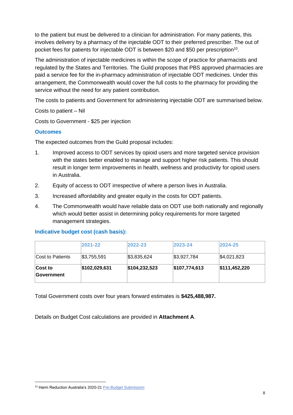to the patient but must be delivered to a clinician for administration. For many patients, this involves delivery by a pharmacy of the injectable ODT to their preferred prescriber. The out of pocket fees for patients for injectable ODT is between \$20 and \$50 per prescription<sup>10</sup>.

The administration of injectable medicines is within the scope of practice for pharmacists and regulated by the States and Territories. The Guild proposes that PBS approved pharmacies are paid a service fee for the in-pharmacy administration of injectable ODT medicines. Under this arrangement, the Commonwealth would cover the full costs to the pharmacy for providing the service without the need for any patient contribution.

The costs to patients and Government for administering injectable ODT are summarised below.

Costs to patient – Nil

Costs to Government - \$25 per injection

#### **Outcomes**

The expected outcomes from the Guild proposal includes:

- 1. Improved access to ODT services by opioid users and more targeted service provision with the states better enabled to manage and support higher risk patients. This should result in longer term improvements in health, wellness and productivity for opioid users in Australia.
- 2. Equity of access to ODT irrespective of where a person lives in Australia.
- 3. Increased affordability and greater equity in the costs for ODT patients.
- 4. The Commonwealth would have reliable data on ODT use both nationally and regionally which would better assist in determining policy requirements for more targeted management strategies.

#### **Indicative budget cost (cash basis):**

|                              | 2021-22       | 2022-23       | 2023-24       | 2024-25       |
|------------------------------|---------------|---------------|---------------|---------------|
| Cost to Patients             | \$3,755,591   | \$3,835,624   | \$3,927,784   | \$4,021,823   |
| <b>Cost to</b><br>Government | \$102,029,631 | \$104,232,523 | \$107,774,613 | \$111,452,220 |

Total Government costs over four years forward estimates is **\$425,488,987.**

Details on Budget Cost calculations are provided in **Attachment A**.

<sup>10</sup> Harm Reduction Australia's 2020-2[1 Pre-Budget Submission](https://treasury.gov.au/sites/default/files/2020-09/115786_HARM_REDUCTION_AUSTRALIA_-_SUBMISSION_2.pdf)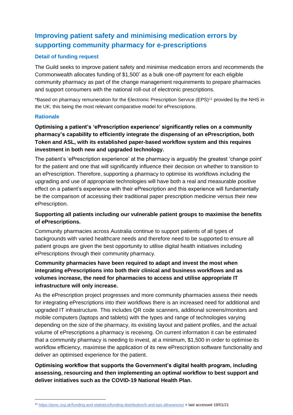## **Improving patient safety and minimising medication errors by supporting community pharmacy for e-prescriptions**

#### **Detail of funding request**

The Guild seeks to improve patient safety and minimise medication errors and recommends the Commonwealth allocates funding of \$1,500\* as a bulk one-off payment for each eligible community pharmacy as part of the change management requirements to prepare pharmacies and support consumers with the national roll-out of electronic prescriptions.

\*Based on pharmacy remuneration for the Electronic Prescription Service (EPS)<sup>11</sup> provided by the NHS in the UK; this being the most relevant comparative model for ePrescriptions.

#### **Rationale**

**Optimising a patient's 'ePrescription experience' significantly relies on a community pharmacy's capability to efficiently integrate the dispensing of an ePrescription, both Token and ASL, with its established paper-based workflow system and this requires investment in both new and upgraded technology.**

The patient's 'ePrescription experience' at the pharmacy is arguably the greatest 'change point' for the patient and one that will significantly influence their decision on whether to transition to an ePrescription. Therefore, supporting a pharmacy to optimise its workflows including the upgrading and use of appropriate technologies will have both a real and measurable positive effect on a patient's experience with their ePrescription and this experience will fundamentally be the comparison of accessing their traditional paper prescription medicine versus their new ePrescription.

#### **Supporting all patients including our vulnerable patient groups to maximise the benefits of ePrescriptions.**

Community pharmacies across Australia continue to support patients of all types of backgrounds with varied healthcare needs and therefore need to be supported to ensure all patient groups are given the best opportunity to utilise digital health initiatives including ePrescriptions through their community pharmacy.

#### **Community pharmacies have been required to adapt and invest the most when integrating ePrescriptions into both their clinical and business workflows and as volumes increase, the need for pharmacies to access and utilise appropriate IT infrastructure will only increase.**

As the ePrescription project progresses and more community pharmacies assess their needs for integrating ePrescriptions into their workflows there is an increased need for additional and upgraded IT infrastructure. This includes QR code scanners, additional screens/monitors and mobile computers (laptops and tablets) with the types and range of technologies varying depending on the size of the pharmacy, its existing layout and patient profiles, and the actual volume of ePrescriptions a pharmacy is receiving. On current information it can be estimated that a community pharmacy is needing to invest, at a minimum, \$1,500 in order to optimise its workflow efficiency, maximise the application of its new ePrescription software functionality and deliver an optimised experience for the patient.

**Optimising workflow that supports the Government's digital health program, including assessing, resourcing and then implementing an optimal workflow to best support and deliver initiatives such as the COVID-19 National Health Plan.**

<sup>11</sup> <https://psnc.org.uk/funding-and-statistics/funding-distribution/it-and-eps-allowances/> < last accessed 19/01/21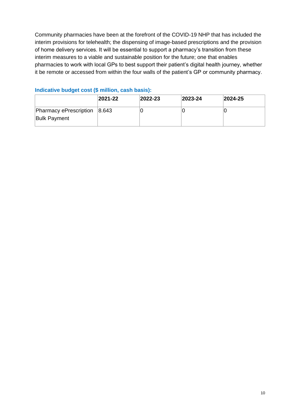Community pharmacies have been at the forefront of the COVID-19 NHP that has included the interim provisions for telehealth; the dispensing of image-based prescriptions and the provision of home delivery services. It will be essential to support a pharmacy's transition from these interim measures to a viable and sustainable position for the future; one that enables pharmacies to work with local GPs to best support their patient's digital health journey, whether it be remote or accessed from within the four walls of the patient's GP or community pharmacy.

|                                                     | $ 2021-22 $ | $ 2022 - 23 $ | $ 2023 - 24 $ | $ 2024 - 25 $ |
|-----------------------------------------------------|-------------|---------------|---------------|---------------|
| Pharmacy ePrescription 8.643<br><b>Bulk Payment</b> |             |               |               |               |

#### **Indicative budget cost (\$ million, cash basis):**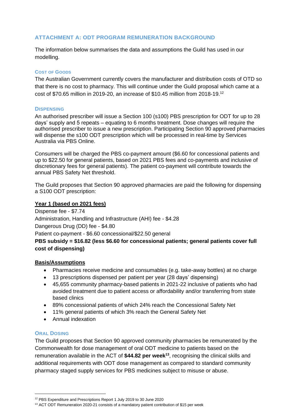#### **ATTACHMENT A: ODT PROGRAM REMUNERATION BACKGROUND**

The information below summarises the data and assumptions the Guild has used in our modelling.

#### **COST OF GOODS**

The Australian Government currently covers the manufacturer and distribution costs of OTD so that there is no cost to pharmacy. This will continue under the Guild proposal which came at a cost of \$70.65 million in 2019-20, an increase of \$10.45 million from 2018-19.<sup>12</sup>

#### **DISPENSING**

An authorised prescriber will issue a Section 100 (s100) PBS prescription for ODT for up to 28 days' supply and 5 repeats – equating to 6 months treatment. Dose changes will require the authorised prescriber to issue a new prescription. Participating Section 90 approved pharmacies will dispense the s100 ODT prescription which will be processed in real-time by Services Australia via PBS Online.

Consumers will be charged the PBS co-payment amount (\$6.60 for concessional patients and up to \$22.50 for general patients, based on 2021 PBS fees and co-payments and inclusive of discretionary fees for general patients). The patient co-payment will contribute towards the annual PBS Safety Net threshold.

The Guild proposes that Section 90 approved pharmacies are paid the following for dispensing a S100 ODT prescription:

#### **Year 1 (based on 2021 fees)**

Dispense fee - \$7.74 Administration, Handling and Infrastructure (AHI) fee - \$4.28 Dangerous Drug (DD) fee - \$4.80 Patient co-payment - \$6.60 concessional/\$22.50 general **PBS subsidy = \$16.82 (less \$6.60 for concessional patients; general patients cover full** 

## **cost of dispensing)**

#### **Basis/Assumptions**

- Pharmacies receive medicine and consumables (e.g. take-away bottles) at no charge
- 13 prescriptions dispensed per patient per year (28 days' dispensing)
- 45,655 community pharmacy-based patients in 2021-22 inclusive of patients who had avoided treatment due to patient access or affordability and/or transferring from state based clinics
- 89% concessional patients of which 24% reach the Concessional Safety Net
- 11% general patients of which 3% reach the General Safety Net
- Annual indexation

#### **ORAL DOSING**

The Guild proposes that Section 90 approved community pharmacies be remunerated by the Commonwealth for dose management of oral ODT medicine to patients based on the remuneration available in the ACT of **\$44.82 per week<sup>13</sup>**, recognising the clinical skills and additional requirements with ODT dose management as compared to standard community pharmacy staged supply services for PBS medicines subject to misuse or abuse.

<sup>12</sup> PBS Expenditure and Prescriptions Report 1 July 2019 to 30 June 2020

<sup>&</sup>lt;sup>13</sup> ACT ODT Remuneration 2020-21 consists of a mandatory patient contribution of \$15 per week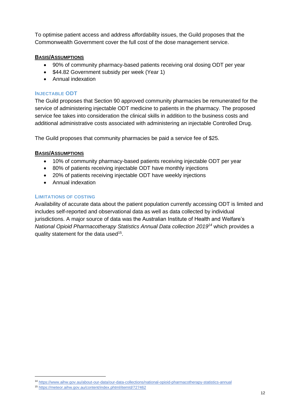To optimise patient access and address affordability issues, the Guild proposes that the Commonwealth Government cover the full cost of the dose management service.

#### **BASIS/ASSUMPTIONS**

- 90% of community pharmacy-based patients receiving oral dosing ODT per year
- \$44.82 Government subsidy per week (Year 1)
- Annual indexation

#### **INJECTABLE ODT**

The Guild proposes that Section 90 approved community pharmacies be remunerated for the service of administering injectable ODT medicine to patients in the pharmacy. The proposed service fee takes into consideration the clinical skills in addition to the business costs and additional administrative costs associated with administering an injectable Controlled Drug.

The Guild proposes that community pharmacies be paid a service fee of \$25.

#### **BASIS/ASSUMPTIONS**

- 10% of community pharmacy-based patients receiving injectable ODT per year
- 80% of patients receiving injectable ODT have monthly injections
- 20% of patients receiving injectable ODT have weekly injections
- Annual indexation

#### **LIMITATIONS OF COSTING**

Availability of accurate data about the patient population currently accessing ODT is limited and includes self-reported and observational data as well as data collected by individual jurisdictions. A major source of data was the Australian Institute of Health and Welfare's *National Opioid Pharmacotherapy Statistics Annual Data collection 2019<sup>14</sup>* which provides a quality statement for the data used<sup>15</sup>.

<sup>14</sup> <https://www.aihw.gov.au/about-our-data/our-data-collections/national-opioid-pharmacotherapy-statistics-annual>

<sup>15</sup> <https://meteor.aihw.gov.au/content/index.phtml/itemId/727462>